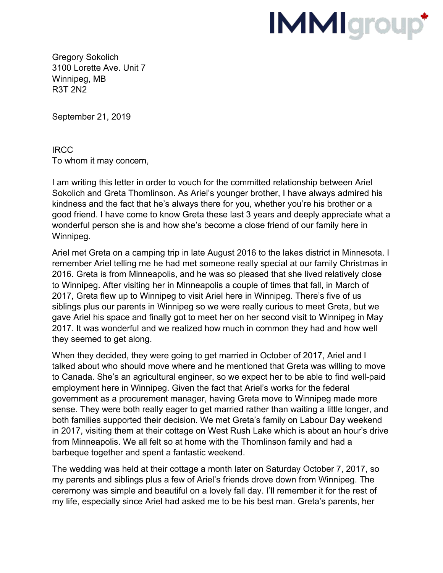## **IMMIgroup**\*

Gregory Sokolich 3100 Lorette Ave. Unit 7 Winnipeg, MB R3T 2N2

September 21, 2019

IRCC To whom it may concern,

I am writing this letter in order to vouch for the committed relationship between Ariel Sokolich and Greta Thomlinson. As Ariel's younger brother, I have always admired his kindness and the fact that he's always there for you, whether you're his brother or a good friend. I have come to know Greta these last 3 years and deeply appreciate what a wonderful person she is and how she's become a close friend of our family here in Winnipeg.

Ariel met Greta on a camping trip in late August 2016 to the lakes district in Minnesota. I remember Ariel telling me he had met someone really special at our family Christmas in 2016. Greta is from Minneapolis, and he was so pleased that she lived relatively close to Winnipeg. After visiting her in Minneapolis a couple of times that fall, in March of 2017, Greta flew up to Winnipeg to visit Ariel here in Winnipeg. There's five of us siblings plus our parents in Winnipeg so we were really curious to meet Greta, but we gave Ariel his space and finally got to meet her on her second visit to Winnipeg in May 2017. It was wonderful and we realized how much in common they had and how well they seemed to get along.

When they decided, they were going to get married in October of 2017, Ariel and I talked about who should move where and he mentioned that Greta was willing to move to Canada. She's an agricultural engineer, so we expect her to be able to find well-paid employment here in Winnipeg. Given the fact that Ariel's works for the federal government as a procurement manager, having Greta move to Winnipeg made more sense. They were both really eager to get married rather than waiting a little longer, and both families supported their decision. We met Greta's family on Labour Day weekend in 2017, visiting them at their cottage on West Rush Lake which is about an hour's drive from Minneapolis. We all felt so at home with the Thomlinson family and had a barbeque together and spent a fantastic weekend.

The wedding was held at their cottage a month later on Saturday October 7, 2017, so my parents and siblings plus a few of Ariel's friends drove down from Winnipeg. The ceremony was simple and beautiful on a lovely fall day. I'll remember it for the rest of my life, especially since Ariel had asked me to be his best man. Greta's parents, her